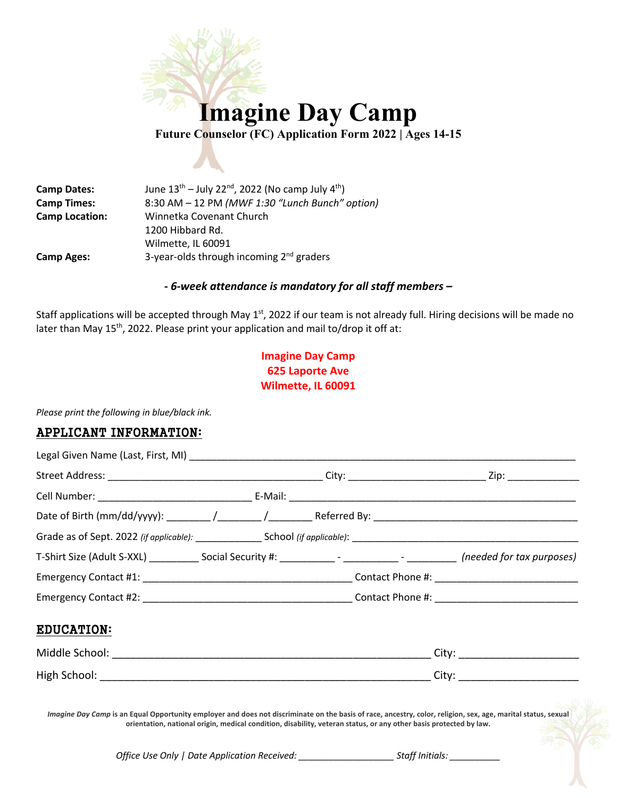

**Camp Dates:** June  $13^{th}$  – July 22<sup>nd</sup>, 2022 (No camp July  $4^{th}$ ) **Camp Times:** 8:30 AM – 12 PM *(MWF 1:30 "Lunch Bunch" option)* **Camp Location:** Winnetka Covenant Church 1200 Hibbard Rd. Wilmette, IL 60091 **Camp Ages:** 3-year-olds through incoming 2nd graders

## *- 6-week attendance is mandatory for all staff members –*

Staff applications will be accepted through May  $1<sup>st</sup>$ , 2022 if our team is not already full. Hiring decisions will be made no later than May  $15<sup>th</sup>$ , 2022. Please print your application and mail to/drop it off at:

# **Imagine Day Camp 625 Laporte Ave Wilmette, IL 60091**

*Please print the following in blue/black ink.*

## APPLICANT INFORMATION:

| T-Shirt Size (Adult S-XXL) _____________ Social Security #: _____________- - ______________- (needed for tax purposes) |  |                                  |
|------------------------------------------------------------------------------------------------------------------------|--|----------------------------------|
|                                                                                                                        |  |                                  |
|                                                                                                                        |  |                                  |
| <b>EDUCATION:</b>                                                                                                      |  |                                  |
|                                                                                                                        |  |                                  |
|                                                                                                                        |  | City: __________________________ |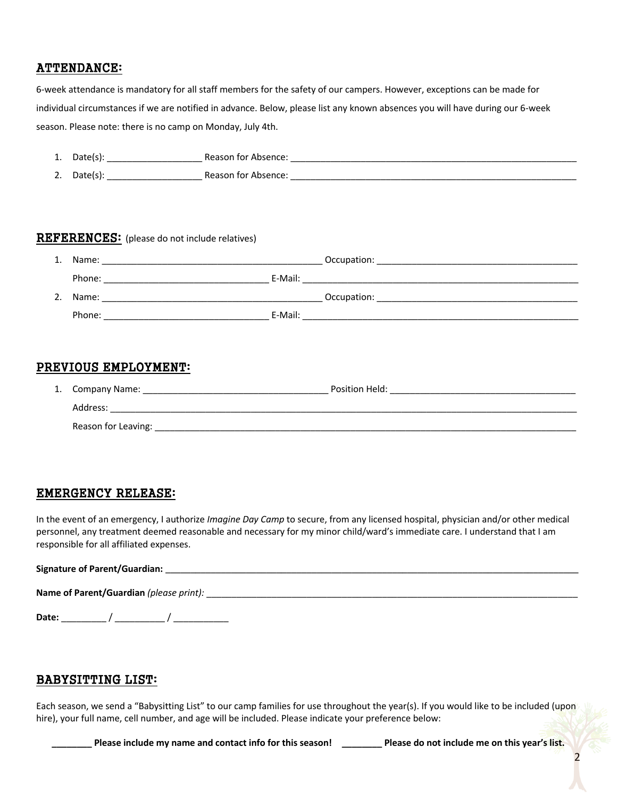# ATTENDANCE:

6-week attendance is mandatory for all staff members for the safety of our campers. However, exceptions can be made for individual circumstances if we are notified in advance. Below, please list any known absences you will have during our 6-week season. Please note: there is no camp on Monday, July 4th.

| 1. | Date(s): | Reason for Absence: |
|----|----------|---------------------|
| 2. | Date(s): | Reason for Absence: |

#### REFERENCES: (please do not include relatives)

| 1. | Name:  |         | Occupation: |
|----|--------|---------|-------------|
|    | Phone: | E-Mail: |             |
| 2. | Name:  |         | Occupation: |
|    | Phone: | E-Mail: |             |

## PREVIOUS EMPLOYMENT:

| 1. Company Name:    | Position Held: |
|---------------------|----------------|
| Address:            |                |
| Reason for Leaving: |                |

## EMERGENCY RELEASE:

In the event of an emergency, I authorize *Imagine Day Camp* to secure, from any licensed hospital, physician and/or other medical personnel, any treatment deemed reasonable and necessary for my minor child/ward's immediate care. I understand that I am responsible for all affiliated expenses.

#### Signature of Parent/Guardian: *Dependence of Parent Cuardian*: *now as a set of Parent Cuardian*: *now as a set of Parent Cuardian*: *now as a set of Parent Cuardian*: *now as a set of Parent***</del>** *Cuardian***:**

**Name of Parent/Guardian** *(please print):* \_\_\_\_\_\_\_\_\_\_\_\_\_\_\_\_\_\_\_\_\_\_\_\_\_\_\_\_\_\_\_\_\_\_\_\_\_\_\_\_\_\_\_\_\_\_\_\_\_\_\_\_\_\_\_\_\_\_\_\_\_\_\_\_\_\_\_\_\_\_\_\_\_\_

**Date:** \_\_\_\_\_\_\_\_\_ / \_\_\_\_\_\_\_\_\_\_ / \_\_\_\_\_\_\_\_\_\_\_

## BABYSITTING LIST:

Each season, we send a "Babysitting List" to our camp families for use throughout the year(s). If you would like to be included (upon hire), your full name, cell number, and age will be included. Please indicate your preference below:

**\_\_\_\_\_\_\_\_ Please include my name and contact info for this season! \_\_\_\_\_\_\_\_ Please do not include me on this year's list.**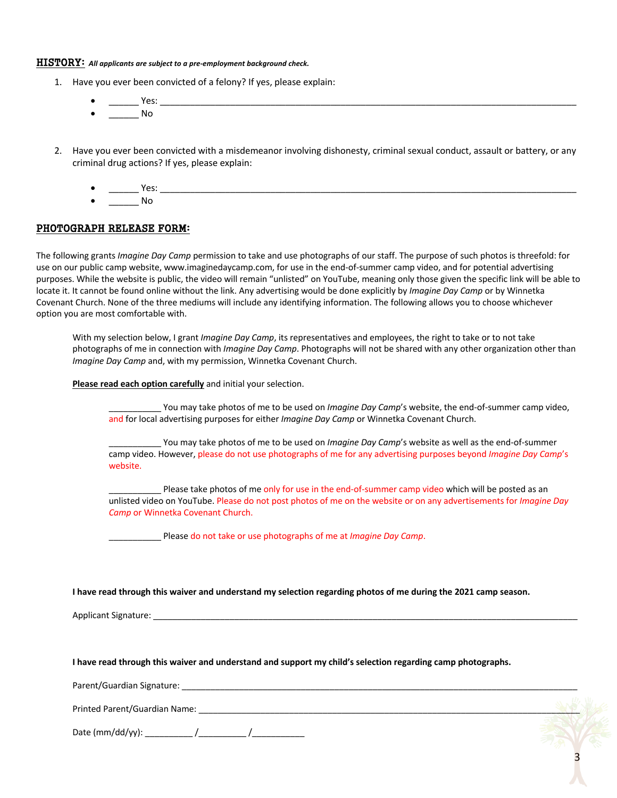#### HISTORY: *All applicants are subject to a pre-employment background check.*

- 1. Have you ever been convicted of a felony? If yes, please explain:
	- \_\_\_\_\_\_ Yes: \_\_\_\_\_\_\_\_\_\_\_\_\_\_\_\_\_\_\_\_\_\_\_\_\_\_\_\_\_\_\_\_\_\_\_\_\_\_\_\_\_\_\_\_\_\_\_\_\_\_\_\_\_\_\_\_\_\_\_\_\_\_\_\_\_\_\_\_\_\_\_\_\_\_\_\_\_\_\_\_\_\_\_  $N<sub>0</sub>$
- 2. Have you ever been convicted with a misdemeanor involving dishonesty, criminal sexual conduct, assault or battery, or any criminal drug actions? If yes, please explain:
	- $Yes:$ No

#### PHOTOGRAPH RELEASE FORM:

The following grants *Imagine Day Camp* permission to take and use photographs of our staff. The purpose of such photos is threefold: for use on our public camp website, www.imaginedaycamp.com, for use in the end-of-summer camp video, and for potential advertising purposes. While the website is public, the video will remain "unlisted" on YouTube, meaning only those given the specific link will be able to locate it. It cannot be found online without the link. Any advertising would be done explicitly by *Imagine Day Camp* or by Winnetka Covenant Church. None of the three mediums will include any identifying information. The following allows you to choose whichever option you are most comfortable with.

With my selection below, I grant *Imagine Day Camp*, its representatives and employees, the right to take or to not take photographs of me in connection with *Imagine Day Camp*. Photographs will not be shared with any other organization other than *Imagine Day Camp* and, with my permission, Winnetka Covenant Church.

**Please read each option carefully** and initial your selection.

You may take photos of me to be used on *Imagine Day Camp's* website, the end-of-summer camp video, and for local advertising purposes for either *Imagine Day Camp* or Winnetka Covenant Church.

\_\_\_\_\_\_\_\_\_\_\_ You may take photos of me to be used on *Imagine Day Camp*'s website as well as the end-of-summer camp video. However, please do not use photographs of me for any advertising purposes beyond *Imagine Day Camp*'s website.

Please take photos of me only for use in the end-of-summer camp video which will be posted as an unlisted video on YouTube. Please do not post photos of me on the website or on any advertisements for *Imagine Day Camp* or Winnetka Covenant Church.

\_\_\_\_\_\_\_\_\_\_\_ Please do not take or use photographs of me at *Imagine Day Camp*.

**I have read through this waiver and understand my selection regarding photos of me during the 2021 camp season.**

Applicant Signature: \_\_\_\_\_\_\_\_\_\_\_\_\_\_\_\_\_\_\_\_\_\_\_\_\_\_\_\_\_\_\_\_\_\_\_\_\_\_\_\_\_\_\_\_\_\_\_\_\_\_\_\_\_\_\_\_\_\_\_\_\_\_\_\_\_\_\_\_\_\_\_\_\_\_\_\_\_\_\_\_\_\_\_\_\_\_\_\_\_

**I have read through this waiver and understand and support my child's selection regarding camp photographs.** 

Parent/Guardian Signature: \_\_\_\_\_\_\_\_\_\_\_\_\_\_\_\_\_\_\_\_\_\_\_\_\_\_\_\_\_\_\_\_\_\_\_\_\_\_\_\_\_\_\_\_\_\_\_\_\_\_\_\_\_\_\_\_\_\_\_\_\_\_\_\_\_\_\_\_\_\_\_\_\_\_\_\_\_\_\_\_\_\_\_

Printed Parent/Guardian Name: \_\_\_\_\_\_\_\_\_\_\_\_\_\_\_\_\_\_\_\_\_\_\_\_\_\_\_\_\_\_\_\_\_\_\_\_\_\_\_\_\_\_\_\_\_\_\_\_\_\_\_\_\_\_\_\_\_\_\_\_\_\_\_\_\_\_\_\_\_\_\_\_\_\_\_\_\_\_\_\_

Date (mm/dd/yy): \_\_\_\_\_\_\_\_\_\_ /\_\_\_\_\_\_\_\_\_\_ /\_\_\_\_\_\_\_\_\_\_\_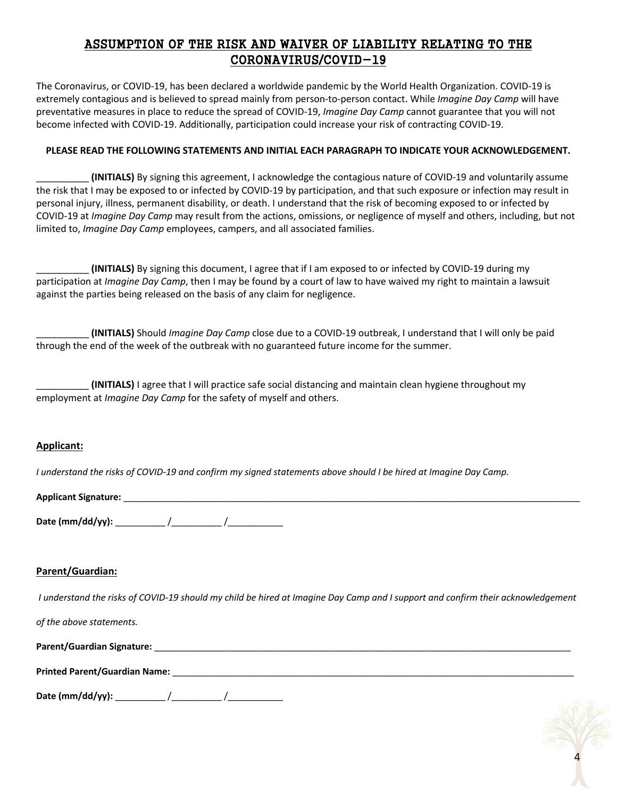# ASSUMPTION OF THE RISK AND WAIVER OF LIABILITY RELATING TO THE CORONAVIRUS/COVID-19

The Coronavirus, or COVID-19, has been declared a worldwide pandemic by the World Health Organization. COVID-19 is extremely contagious and is believed to spread mainly from person-to-person contact. While *Imagine Day Camp* will have preventative measures in place to reduce the spread of COVID-19, *Imagine Day Camp* cannot guarantee that you will not become infected with COVID-19. Additionally, participation could increase your risk of contracting COVID-19.

#### **PLEASE READ THE FOLLOWING STATEMENTS AND INITIAL EACH PARAGRAPH TO INDICATE YOUR ACKNOWLEDGEMENT.**

\_\_\_\_\_\_\_\_\_\_ **(INITIALS)** By signing this agreement, I acknowledge the contagious nature of COVID-19 and voluntarily assume the risk that I may be exposed to or infected by COVID-19 by participation, and that such exposure or infection may result in personal injury, illness, permanent disability, or death. I understand that the risk of becoming exposed to or infected by COVID-19 at *Imagine Day Camp* may result from the actions, omissions, or negligence of myself and others, including, but not limited to, *Imagine Day Camp* employees, campers, and all associated families.

\_\_\_\_\_\_\_\_\_\_ **(INITIALS)** By signing this document, I agree that if I am exposed to or infected by COVID-19 during my participation at *Imagine Day Camp*, then I may be found by a court of law to have waived my right to maintain a lawsuit against the parties being released on the basis of any claim for negligence.

\_\_\_\_\_\_\_\_\_\_ **(INITIALS)** Should *Imagine Day Camp* close due to a COVID-19 outbreak, I understand that I will only be paid through the end of the week of the outbreak with no guaranteed future income for the summer.

\_\_\_\_\_\_\_\_\_\_ **(INITIALS)** I agree that I will practice safe social distancing and maintain clean hygiene throughout my employment at *Imagine Day Camp* for the safety of myself and others.

### **Applicant:**

*I understand the risks of COVID-19 and confirm my signed statements above should I be hired at Imagine Day Camp.*

| <b>Applicant Signature:</b> |  |
|-----------------------------|--|
|                             |  |

| Date (mm/dd/yy): |  |  |
|------------------|--|--|
|------------------|--|--|

### **Parent/Guardian:**

*I understand the risks of COVID-19 should my child be hired at Imagine Day Camp and I support and confirm their acknowledgement* 

*of the above statements.* **Parent/Guardian Signature:** \_\_\_\_\_\_\_\_\_\_\_\_\_\_\_\_\_\_\_\_\_\_\_\_\_\_\_\_\_\_\_\_\_\_\_\_\_\_\_\_\_\_\_\_\_\_\_\_\_\_\_\_\_\_\_\_\_\_\_\_\_\_\_\_\_\_\_\_\_\_\_\_\_\_\_\_\_\_\_\_\_\_\_ **Printed Parent/Guardian Name:** \_\_\_\_\_\_\_\_\_\_\_\_\_\_\_\_\_\_\_\_\_\_\_\_\_\_\_\_\_\_\_\_\_\_\_\_\_\_\_\_\_\_\_\_\_\_\_\_\_\_\_\_\_\_\_\_\_\_\_\_\_\_\_\_\_\_\_\_\_\_\_\_\_\_\_\_\_\_\_\_ **Date (mm/dd/yy):** \_\_\_\_\_\_\_\_\_\_ /\_\_\_\_\_\_\_\_\_\_ /\_\_\_\_\_\_\_\_\_\_\_